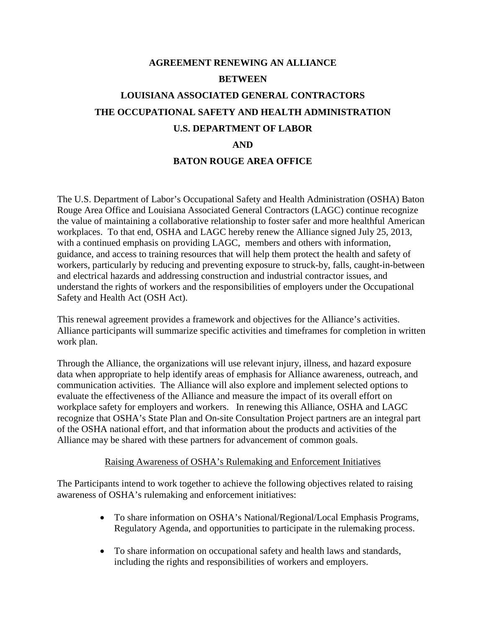## **AGREEMENT RENEWING AN ALLIANCE BETWEEN LOUISIANA ASSOCIATED GENERAL CONTRACTORS THE OCCUPATIONAL SAFETY AND HEALTH ADMINISTRATION U.S. DEPARTMENT OF LABOR AND BATON ROUGE AREA OFFICE**

The U.S. Department of Labor's Occupational Safety and Health Administration (OSHA) Baton Rouge Area Office and Louisiana Associated General Contractors (LAGC) continue recognize the value of maintaining a collaborative relationship to foster safer and more healthful American workplaces. To that end, OSHA and LAGC hereby renew the Alliance signed July 25, 2013, with a continued emphasis on providing LAGC, members and others with information, guidance, and access to training resources that will help them protect the health and safety of workers, particularly by reducing and preventing exposure to struck-by, falls, caught-in-between and electrical hazards and addressing construction and industrial contractor issues, and understand the rights of workers and the responsibilities of employers under the Occupational Safety and Health Act (OSH Act).

This renewal agreement provides a framework and objectives for the Alliance's activities. Alliance participants will summarize specific activities and timeframes for completion in written work plan.

Through the Alliance, the organizations will use relevant injury, illness, and hazard exposure data when appropriate to help identify areas of emphasis for Alliance awareness, outreach, and communication activities. The Alliance will also explore and implement selected options to evaluate the effectiveness of the Alliance and measure the impact of its overall effort on workplace safety for employers and workers. In renewing this Alliance, OSHA and LAGC recognize that OSHA's State Plan and On-site Consultation Project partners are an integral part of the OSHA national effort, and that information about the products and activities of the Alliance may be shared with these partners for advancement of common goals.

## Raising Awareness of OSHA's Rulemaking and Enforcement Initiatives

The Participants intend to work together to achieve the following objectives related to raising awareness of OSHA's rulemaking and enforcement initiatives:

- To share information on OSHA's National/Regional/Local Emphasis Programs, Regulatory Agenda, and opportunities to participate in the rulemaking process.
- To share information on occupational safety and health laws and standards, including the rights and responsibilities of workers and employers.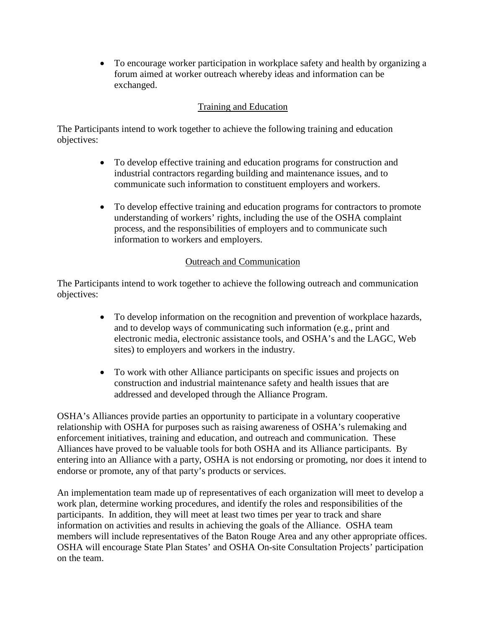• To encourage worker participation in workplace safety and health by organizing a forum aimed at worker outreach whereby ideas and information can be exchanged.

## Training and Education

The Participants intend to work together to achieve the following training and education objectives:

- To develop effective training and education programs for construction and industrial contractors regarding building and maintenance issues, and to communicate such information to constituent employers and workers.
- To develop effective training and education programs for contractors to promote understanding of workers' rights, including the use of the OSHA complaint process, and the responsibilities of employers and to communicate such information to workers and employers.

## Outreach and Communication

The Participants intend to work together to achieve the following outreach and communication objectives:

- To develop information on the recognition and prevention of workplace hazards, and to develop ways of communicating such information (e.g., print and electronic media, electronic assistance tools, and OSHA's and the LAGC, Web sites) to employers and workers in the industry.
- To work with other Alliance participants on specific issues and projects on construction and industrial maintenance safety and health issues that are addressed and developed through the Alliance Program.

OSHA's Alliances provide parties an opportunity to participate in a voluntary cooperative relationship with OSHA for purposes such as raising awareness of OSHA's rulemaking and enforcement initiatives, training and education, and outreach and communication. These Alliances have proved to be valuable tools for both OSHA and its Alliance participants. By entering into an Alliance with a party, OSHA is not endorsing or promoting, nor does it intend to endorse or promote, any of that party's products or services.

An implementation team made up of representatives of each organization will meet to develop a work plan, determine working procedures, and identify the roles and responsibilities of the participants. In addition, they will meet at least two times per year to track and share information on activities and results in achieving the goals of the Alliance. OSHA team members will include representatives of the Baton Rouge Area and any other appropriate offices. OSHA will encourage State Plan States' and OSHA On-site Consultation Projects' participation on the team.